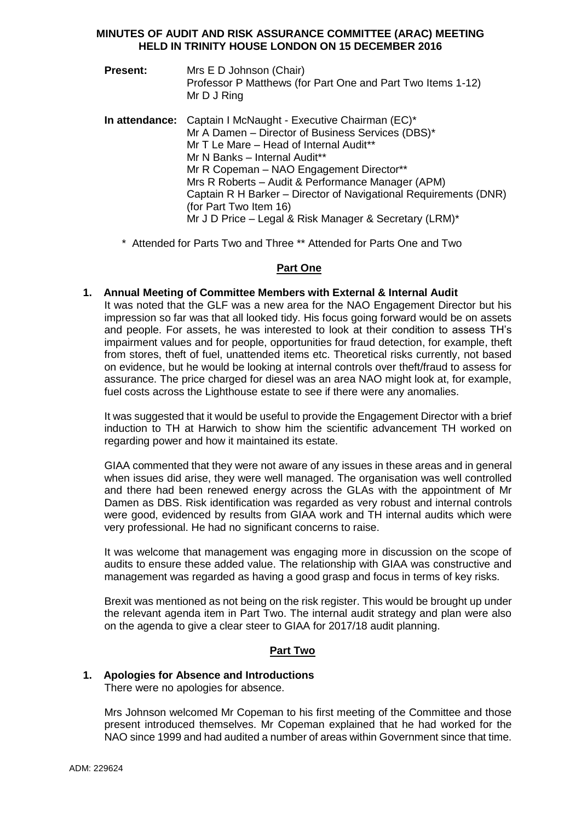#### **MINUTES OF AUDIT AND RISK ASSURANCE COMMITTEE (ARAC) MEETING HELD IN TRINITY HOUSE LONDON ON 15 DECEMBER 2016**

- **Present:** Mrs E D Johnson (Chair) Professor P Matthews (for Part One and Part Two Items 1-12) Mr D J Ring
- **In attendance:** Captain I McNaught Executive Chairman (EC)\* Mr A Damen – Director of Business Services (DBS)\* Mr T Le Mare – Head of Internal Audit\*\* Mr N Banks – Internal Audit\*\* Mr R Copeman - NAO Engagement Director\*\* Mrs R Roberts – Audit & Performance Manager (APM) Captain R H Barker – Director of Navigational Requirements (DNR) (for Part Two Item 16) Mr J D Price – Legal & Risk Manager & Secretary (LRM)\*
	- \* Attended for Parts Two and Three \*\* Attended for Parts One and Two

### **Part One**

#### **1. Annual Meeting of Committee Members with External & Internal Audit**

It was noted that the GLF was a new area for the NAO Engagement Director but his impression so far was that all looked tidy. His focus going forward would be on assets and people. For assets, he was interested to look at their condition to assess TH's impairment values and for people, opportunities for fraud detection, for example, theft from stores, theft of fuel, unattended items etc. Theoretical risks currently, not based on evidence, but he would be looking at internal controls over theft/fraud to assess for assurance. The price charged for diesel was an area NAO might look at, for example, fuel costs across the Lighthouse estate to see if there were any anomalies.

It was suggested that it would be useful to provide the Engagement Director with a brief induction to TH at Harwich to show him the scientific advancement TH worked on regarding power and how it maintained its estate.

GIAA commented that they were not aware of any issues in these areas and in general when issues did arise, they were well managed. The organisation was well controlled and there had been renewed energy across the GLAs with the appointment of Mr Damen as DBS. Risk identification was regarded as very robust and internal controls were good, evidenced by results from GIAA work and TH internal audits which were very professional. He had no significant concerns to raise.

It was welcome that management was engaging more in discussion on the scope of audits to ensure these added value. The relationship with GIAA was constructive and management was regarded as having a good grasp and focus in terms of key risks.

Brexit was mentioned as not being on the risk register. This would be brought up under the relevant agenda item in Part Two. The internal audit strategy and plan were also on the agenda to give a clear steer to GIAA for 2017/18 audit planning.

### **Part Two**

#### **1. Apologies for Absence and Introductions**

There were no apologies for absence.

Mrs Johnson welcomed Mr Copeman to his first meeting of the Committee and those present introduced themselves. Mr Copeman explained that he had worked for the NAO since 1999 and had audited a number of areas within Government since that time.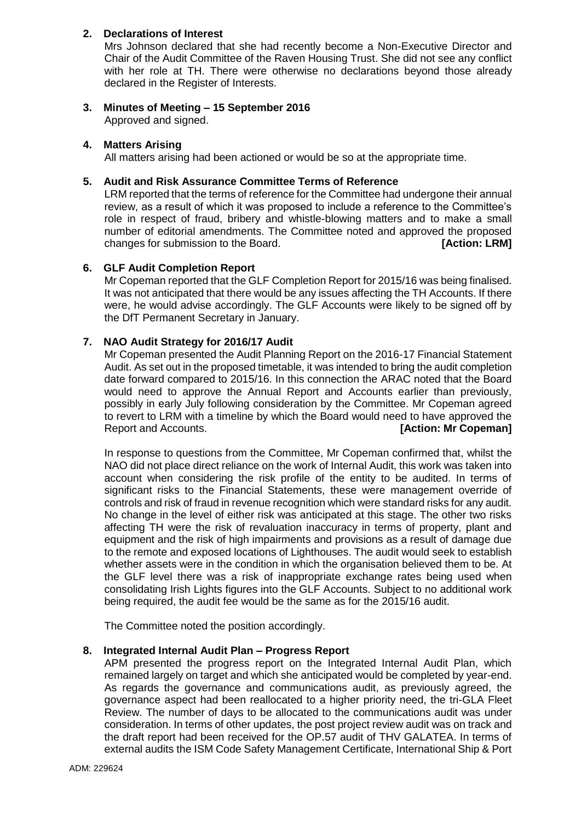# **2. Declarations of Interest**

Mrs Johnson declared that she had recently become a Non-Executive Director and Chair of the Audit Committee of the Raven Housing Trust. She did not see any conflict with her role at TH. There were otherwise no declarations beyond those already declared in the Register of Interests.

# **3. Minutes of Meeting – 15 September 2016**

Approved and signed.

### **4. Matters Arising**

All matters arising had been actioned or would be so at the appropriate time.

### **5. Audit and Risk Assurance Committee Terms of Reference**

LRM reported that the terms of reference for the Committee had undergone their annual review, as a result of which it was proposed to include a reference to the Committee's role in respect of fraud, bribery and whistle-blowing matters and to make a small number of editorial amendments. The Committee noted and approved the proposed changes for submission to the Board. **[Action: LRM]**

#### **6. GLF Audit Completion Report**

Mr Copeman reported that the GLF Completion Report for 2015/16 was being finalised. It was not anticipated that there would be any issues affecting the TH Accounts. If there were, he would advise accordingly. The GLF Accounts were likely to be signed off by the DfT Permanent Secretary in January.

#### **7. NAO Audit Strategy for 2016/17 Audit**

Mr Copeman presented the Audit Planning Report on the 2016-17 Financial Statement Audit. As set out in the proposed timetable, it was intended to bring the audit completion date forward compared to 2015/16. In this connection the ARAC noted that the Board would need to approve the Annual Report and Accounts earlier than previously, possibly in early July following consideration by the Committee. Mr Copeman agreed to revert to LRM with a timeline by which the Board would need to have approved the Report and Accounts. *COPERTY COPERTY COPERTY COPERTY COPERTY COPERTY COPERTY COPERTY* **COPERTY COPERTY COPERTY** 

In response to questions from the Committee, Mr Copeman confirmed that, whilst the NAO did not place direct reliance on the work of Internal Audit, this work was taken into account when considering the risk profile of the entity to be audited. In terms of significant risks to the Financial Statements, these were management override of controls and risk of fraud in revenue recognition which were standard risks for any audit. No change in the level of either risk was anticipated at this stage. The other two risks affecting TH were the risk of revaluation inaccuracy in terms of property, plant and equipment and the risk of high impairments and provisions as a result of damage due to the remote and exposed locations of Lighthouses. The audit would seek to establish whether assets were in the condition in which the organisation believed them to be. At the GLF level there was a risk of inappropriate exchange rates being used when consolidating Irish Lights figures into the GLF Accounts. Subject to no additional work being required, the audit fee would be the same as for the 2015/16 audit.

The Committee noted the position accordingly.

#### **8. Integrated Internal Audit Plan – Progress Report**

APM presented the progress report on the Integrated Internal Audit Plan, which remained largely on target and which she anticipated would be completed by year-end. As regards the governance and communications audit, as previously agreed, the governance aspect had been reallocated to a higher priority need, the tri-GLA Fleet Review. The number of days to be allocated to the communications audit was under consideration. In terms of other updates, the post project review audit was on track and the draft report had been received for the OP.57 audit of THV GALATEA. In terms of external audits the ISM Code Safety Management Certificate, International Ship & Port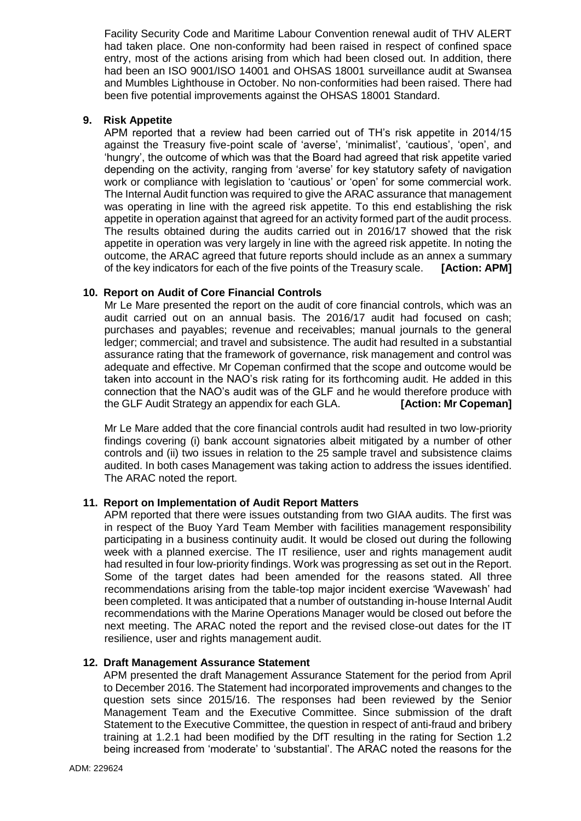Facility Security Code and Maritime Labour Convention renewal audit of THV ALERT had taken place. One non-conformity had been raised in respect of confined space entry, most of the actions arising from which had been closed out. In addition, there had been an ISO 9001/ISO 14001 and OHSAS 18001 surveillance audit at Swansea and Mumbles Lighthouse in October. No non-conformities had been raised. There had been five potential improvements against the OHSAS 18001 Standard.

### **9. Risk Appetite**

APM reported that a review had been carried out of TH's risk appetite in 2014/15 against the Treasury five-point scale of 'averse', 'minimalist', 'cautious', 'open', and 'hungry', the outcome of which was that the Board had agreed that risk appetite varied depending on the activity, ranging from 'averse' for key statutory safety of navigation work or compliance with legislation to 'cautious' or 'open' for some commercial work. The Internal Audit function was required to give the ARAC assurance that management was operating in line with the agreed risk appetite. To this end establishing the risk appetite in operation against that agreed for an activity formed part of the audit process. The results obtained during the audits carried out in 2016/17 showed that the risk appetite in operation was very largely in line with the agreed risk appetite. In noting the outcome, the ARAC agreed that future reports should include as an annex a summary of the key indicators for each of the five points of the Treasury scale. **[Action: APM]**

### **10. Report on Audit of Core Financial Controls**

Mr Le Mare presented the report on the audit of core financial controls, which was an audit carried out on an annual basis. The 2016/17 audit had focused on cash; purchases and payables; revenue and receivables; manual journals to the general ledger; commercial; and travel and subsistence. The audit had resulted in a substantial assurance rating that the framework of governance, risk management and control was adequate and effective. Mr Copeman confirmed that the scope and outcome would be taken into account in the NAO's risk rating for its forthcoming audit. He added in this connection that the NAO's audit was of the GLF and he would therefore produce with the GLF Audit Strategy an appendix for each GLA. **[Action: Mr Copeman]**

Mr Le Mare added that the core financial controls audit had resulted in two low-priority findings covering (i) bank account signatories albeit mitigated by a number of other controls and (ii) two issues in relation to the 25 sample travel and subsistence claims audited. In both cases Management was taking action to address the issues identified. The ARAC noted the report.

#### **11. Report on Implementation of Audit Report Matters**

APM reported that there were issues outstanding from two GIAA audits. The first was in respect of the Buoy Yard Team Member with facilities management responsibility participating in a business continuity audit. It would be closed out during the following week with a planned exercise. The IT resilience, user and rights management audit had resulted in four low-priority findings. Work was progressing as set out in the Report. Some of the target dates had been amended for the reasons stated. All three recommendations arising from the table-top major incident exercise 'Wavewash' had been completed. It was anticipated that a number of outstanding in-house Internal Audit recommendations with the Marine Operations Manager would be closed out before the next meeting. The ARAC noted the report and the revised close-out dates for the IT resilience, user and rights management audit.

#### **12. Draft Management Assurance Statement**

APM presented the draft Management Assurance Statement for the period from April to December 2016. The Statement had incorporated improvements and changes to the question sets since 2015/16. The responses had been reviewed by the Senior Management Team and the Executive Committee. Since submission of the draft Statement to the Executive Committee, the question in respect of anti-fraud and bribery training at 1.2.1 had been modified by the DfT resulting in the rating for Section 1.2 being increased from 'moderate' to 'substantial'. The ARAC noted the reasons for the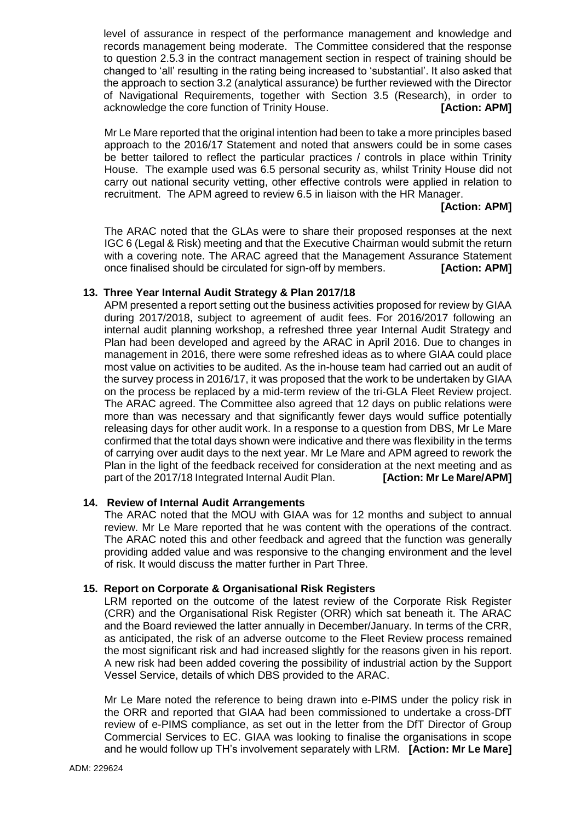level of assurance in respect of the performance management and knowledge and records management being moderate. The Committee considered that the response to question 2.5.3 in the contract management section in respect of training should be changed to 'all' resulting in the rating being increased to 'substantial'. It also asked that the approach to section 3.2 (analytical assurance) be further reviewed with the Director of Navigational Requirements, together with Section 3.5 (Research), in order to acknowledge the core function of Trinity House. **[Action: APM]**

Mr Le Mare reported that the original intention had been to take a more principles based approach to the 2016/17 Statement and noted that answers could be in some cases be better tailored to reflect the particular practices / controls in place within Trinity House. The example used was 6.5 personal security as, whilst Trinity House did not carry out national security vetting, other effective controls were applied in relation to recruitment. The APM agreed to review 6.5 in liaison with the HR Manager.

# **[Action: APM]**

The ARAC noted that the GLAs were to share their proposed responses at the next IGC 6 (Legal & Risk) meeting and that the Executive Chairman would submit the return with a covering note. The ARAC agreed that the Management Assurance Statement once finalised should be circulated for sign-off by members. **[Action: APM]**

# **13. Three Year Internal Audit Strategy & Plan 2017/18**

APM presented a report setting out the business activities proposed for review by GIAA during 2017/2018, subject to agreement of audit fees. For 2016/2017 following an internal audit planning workshop, a refreshed three year Internal Audit Strategy and Plan had been developed and agreed by the ARAC in April 2016. Due to changes in management in 2016, there were some refreshed ideas as to where GIAA could place most value on activities to be audited. As the in-house team had carried out an audit of the survey process in 2016/17, it was proposed that the work to be undertaken by GIAA on the process be replaced by a mid-term review of the tri-GLA Fleet Review project. The ARAC agreed. The Committee also agreed that 12 days on public relations were more than was necessary and that significantly fewer days would suffice potentially releasing days for other audit work. In a response to a question from DBS, Mr Le Mare confirmed that the total days shown were indicative and there was flexibility in the terms of carrying over audit days to the next year. Mr Le Mare and APM agreed to rework the Plan in the light of the feedback received for consideration at the next meeting and as part of the 2017/18 Integrated Internal Audit Plan. **[Action: Mr Le Mare/APM]**

### **14. Review of Internal Audit Arrangements**

The ARAC noted that the MOU with GIAA was for 12 months and subject to annual review. Mr Le Mare reported that he was content with the operations of the contract. The ARAC noted this and other feedback and agreed that the function was generally providing added value and was responsive to the changing environment and the level of risk. It would discuss the matter further in Part Three.

### **15. Report on Corporate & Organisational Risk Registers**

LRM reported on the outcome of the latest review of the Corporate Risk Register (CRR) and the Organisational Risk Register (ORR) which sat beneath it. The ARAC and the Board reviewed the latter annually in December/January. In terms of the CRR, as anticipated, the risk of an adverse outcome to the Fleet Review process remained the most significant risk and had increased slightly for the reasons given in his report. A new risk had been added covering the possibility of industrial action by the Support Vessel Service, details of which DBS provided to the ARAC.

Mr Le Mare noted the reference to being drawn into e-PIMS under the policy risk in the ORR and reported that GIAA had been commissioned to undertake a cross-DfT review of e-PIMS compliance, as set out in the letter from the DfT Director of Group Commercial Services to EC. GIAA was looking to finalise the organisations in scope and he would follow up TH's involvement separately with LRM. **[Action: Mr Le Mare]**